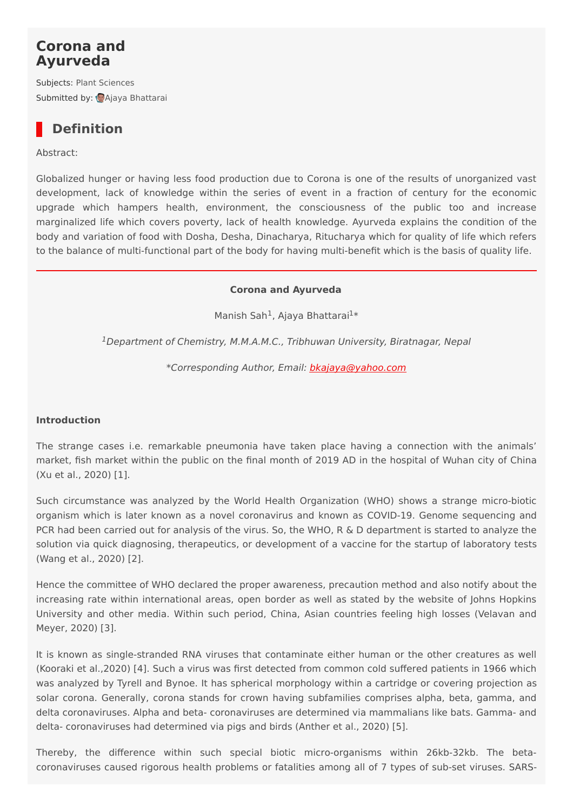## **Corona and Ayurveda**

Subjects: Plant [Sciences](https://encyclopedia.pub/item/subject/10) Submitted by: Ajaya [Bhattarai](https://sciprofiles.com/profile/183220)

# **Definition**

Abstract:

Globalized hunger or having less food production due to Corona is one of the results of unorganized vast development, lack of knowledge within the series of event in a fraction of century for the economic upgrade which hampers health, environment, the consciousness of the public too and increase marginalized life which covers poverty, lack of health knowledge. Ayurveda explains the condition of the body and variation of food with Dosha, Desha, Dinacharya, Ritucharya which for quality of life which refers to the balance of multi-functional part of the body for having multi-benefit which is the basis of quality life.

#### **Corona and Ayurveda**

Manish Sah<sup>1</sup>, Ajaya Bhattarai<sup>1\*</sup>

<sup>1</sup>Department of Chemistry, M.M.A.M.C., Tribhuwan University, Biratnagar, Nepal

\*Corresponding Author, Email: [bkajaya@yahoo.com](mailto:bkajaya@yahoo.com)

#### **Introduction**

The strange cases i.e. remarkable pneumonia have taken place having a connection with the animals' market, fish market within the public on the final month of 2019 AD in the hospital of Wuhan city of China (Xu et al., 2020) [1].

Such circumstance was analyzed by the World Health Organization (WHO) shows a strange micro-biotic organism which is later known as a novel coronavirus and known as COVID-19. Genome sequencing and PCR had been carried out for analysis of the virus. So, the WHO, R & D department is started to analyze the solution via quick diagnosing, therapeutics, or development of a vaccine for the startup of laboratory tests (Wang et al., 2020) [2].

Hence the committee of WHO declared the proper awareness, precaution method and also notify about the increasing rate within international areas, open border as well as stated by the website of Johns Hopkins University and other media. Within such period, China, Asian countries feeling high losses (Velavan and Meyer, 2020) [3].

It is known as single-stranded RNA viruses that contaminate either human or the other creatures as well (Kooraki et al.,2020) [4]. Such a virus was first detected from common cold suffered patients in 1966 which was analyzed by Tyrell and Bynoe. It has spherical morphology within a cartridge or covering projection as solar corona. Generally, corona stands for crown having subfamilies comprises alpha, beta, gamma, and delta coronaviruses. Alpha and beta- coronaviruses are determined via mammalians like bats. Gamma- and delta- coronaviruses had determined via pigs and birds (Anther et al., 2020) [5].

Thereby, the difference within such special biotic micro-organisms within 26kb-32kb. The betacoronaviruses caused rigorous health problems or fatalities among all of 7 types of sub-set viruses. SARS-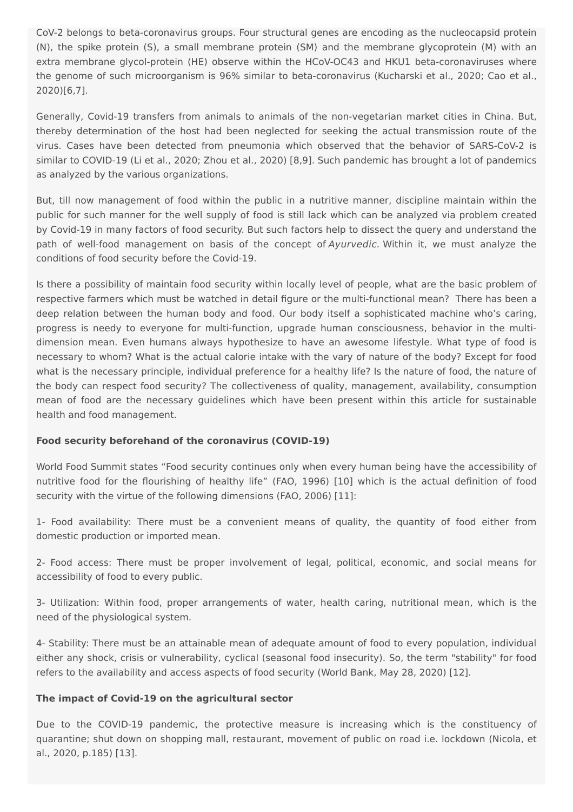CoV-2 belongs to beta-coronavirus groups. Four structural genes are encoding as the nucleocapsid protein (N), the spike protein (S), a small membrane protein (SM) and the membrane glycoprotein (M) with an extra membrane glycol-protein (HE) observe within the HCoV-OC43 and HKU1 beta-coronaviruses where the genome of such microorganism is 96% similar to beta-coronavirus (Kucharski et al., 2020; Cao et al., 2020)[6,7].

Generally, Covid-19 transfers from animals to animals of the non-vegetarian market cities in China. But, thereby determination of the host had been neglected for seeking the actual transmission route of the virus. Cases have been detected from pneumonia which observed that the behavior of SARS-CoV-2 is similar to COVID-19 (Li et al., 2020; Zhou et al., 2020) [8,9]. Such pandemic has brought a lot of pandemics as analyzed by the various organizations.

But, till now management of food within the public in a nutritive manner, discipline maintain within the public for such manner for the well supply of food is still lack which can be analyzed via problem created by Covid-19 in many factors of food security. But such factors help to dissect the query and understand the path of well-food management on basis of the concept of Ayurvedic. Within it, we must analyze the conditions of food security before the Covid-19.

Is there a possibility of maintain food security within locally level of people, what are the basic problem of respective farmers which must be watched in detail figure or the multi-functional mean? There has been a deep relation between the human body and food. Our body itself a sophisticated machine who's caring, progress is needy to everyone for multi-function, upgrade human consciousness, behavior in the multidimension mean. Even humans always hypothesize to have an awesome lifestyle. What type of food is necessary to whom? What is the actual calorie intake with the vary of nature of the body? Except for food what is the necessary principle, individual preference for a healthy life? Is the nature of food, the nature of the body can respect food security? The collectiveness of quality, management, availability, consumption mean of food are the necessary guidelines which have been present within this article for sustainable health and food management.

## **Food security beforehand of the coronavirus (COVID-19)**

World Food Summit states "Food security continues only when every human being have the accessibility of nutritive food for the flourishing of healthy life" (FAO, 1996) [10] which is the actual definition of food security with the virtue of the following dimensions (FAO, 2006) [11]:

1- Food availability: There must be a convenient means of quality, the quantity of food either from domestic production or imported mean.

2- Food access: There must be proper involvement of legal, political, economic, and social means for accessibility of food to every public.

3- Utilization: Within food, proper arrangements of water, health caring, nutritional mean, which is the need of the physiological system.

4- Stability: There must be an attainable mean of adequate amount of food to every population, individual either any shock, crisis or vulnerability, cyclical (seasonal food insecurity). So, the term "stability" for food refers to the availability and access aspects of food security (World Bank, May 28, 2020) [12].

#### **The impact of Covid-19 on the agricultural sector**

Due to the COVID-19 pandemic, the protective measure is increasing which is the constituency of quarantine; shut down on shopping mall, restaurant, movement of public on road i.e. lockdown (Nicola, et al., 2020, p.185) [13].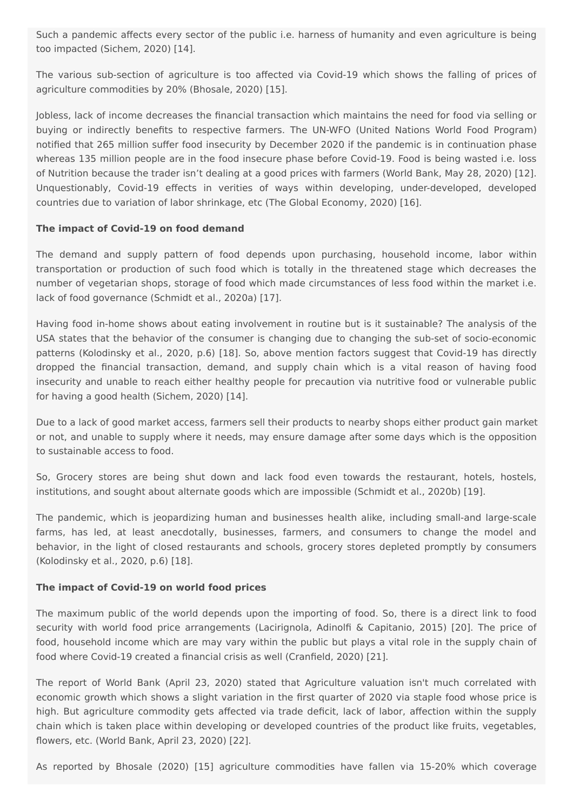Such a pandemic affects every sector of the public i.e. harness of humanity and even agriculture is being too impacted (Sichem, 2020) [14].

The various sub-section of agriculture is too affected via Covid-19 which shows the falling of prices of agriculture commodities by 20% (Bhosale, 2020) [15].

Jobless, lack of income decreases the financial transaction which maintains the need for food via selling or buying or indirectly benefits to respective farmers. The UN-WFO (United Nations World Food Program) notified that 265 million suffer food insecurity by December 2020 if the pandemic is in continuation phase whereas 135 million people are in the food insecure phase before Covid-19. Food is being wasted i.e. loss of Nutrition because the trader isn't dealing at a good prices with farmers (World Bank, May 28, 2020) [12]. Unquestionably, Covid-19 effects in verities of ways within developing, under-developed, developed countries due to variation of labor shrinkage, etc (The Global Economy, 2020) [16].

#### **The impact of Covid-19 on food demand**

The demand and supply pattern of food depends upon purchasing, household income, labor within transportation or production of such food which is totally in the threatened stage which decreases the number of vegetarian shops, storage of food which made circumstances of less food within the market i.e. lack of food governance (Schmidt et al., 2020a) [17].

Having food in-home shows about eating involvement in routine but is it sustainable? The analysis of the USA states that the behavior of the consumer is changing due to changing the sub-set of socio-economic patterns (Kolodinsky et al., 2020, p.6) [18]. So, above mention factors suggest that Covid-19 has directly dropped the financial transaction, demand, and supply chain which is a vital reason of having food insecurity and unable to reach either healthy people for precaution via nutritive food or vulnerable public for having a good health (Sichem, 2020) [14].

Due to a lack of good market access, farmers sell their products to nearby shops either product gain market or not, and unable to supply where it needs, may ensure damage after some days which is the opposition to sustainable access to food.

So, Grocery stores are being shut down and lack food even towards the restaurant, hotels, hostels, institutions, and sought about alternate goods which are impossible (Schmidt et al., 2020b) [19].

The pandemic, which is jeopardizing human and businesses health alike, including small-and large-scale farms, has led, at least anecdotally, businesses, farmers, and consumers to change the model and behavior, in the light of closed restaurants and schools, grocery stores depleted promptly by consumers (Kolodinsky et al., 2020, p.6) [18].

#### **The impact of Covid-19 on world food prices**

The maximum public of the world depends upon the importing of food. So, there is a direct link to food security with world food price arrangements (Lacirignola, Adinolfi & Capitanio, 2015) [20]. The price of food, household income which are may vary within the public but plays a vital role in the supply chain of food where Covid‐19 created a financial crisis as well (Cranfield, 2020) [21].

The report of World Bank (April 23, 2020) stated that Agriculture valuation isn't much correlated with economic growth which shows a slight variation in the first quarter of 2020 via staple food whose price is high. But agriculture commodity gets affected via trade deficit, lack of labor, affection within the supply chain which is taken place within developing or developed countries of the product like fruits, vegetables, flowers, etc. (World Bank, April 23, 2020) [22].

As reported by Bhosale (2020) [15] agriculture commodities have fallen via 15-20% which coverage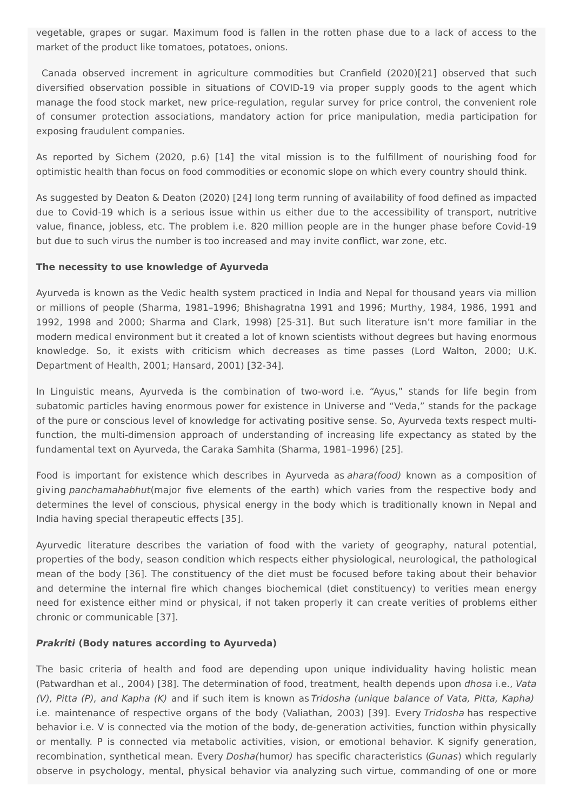vegetable, grapes or sugar. Maximum food is fallen in the rotten phase due to a lack of access to the market of the product like tomatoes, potatoes, onions.

Canada observed increment in agriculture commodities but Cranfield (2020)[21] observed that such diversified observation possible in situations of COVID-19 via proper supply goods to the agent which manage the food stock market, new price-regulation, regular survey for price control, the convenient role of consumer protection associations, mandatory action for price manipulation, media participation for exposing fraudulent companies.

As reported by Sichem (2020, p.6) [14] the vital mission is to the fulfillment of nourishing food for optimistic health than focus on food commodities or economic slope on which every country should think.

As suggested by Deaton & Deaton (2020) [24] long term running of availability of food defined as impacted due to Covid-19 which is a serious issue within us either due to the accessibility of transport, nutritive value, finance, jobless, etc. The problem i.e. 820 million people are in the hunger phase before Covid-19 but due to such virus the number is too increased and may invite conflict, war zone, etc.

#### **The necessity to use knowledge of Ayurveda**

Ayurveda is known as the Vedic health system practiced in India and Nepal for thousand years via million or millions of people (Sharma, 1981–1996; Bhishagratna 1991 and 1996; Murthy, 1984, 1986, 1991 and 1992, 1998 and 2000; Sharma and Clark, 1998) [25-31]. But such literature isn't more familiar in the modern medical environment but it created a lot of known scientists without degrees but having enormous knowledge. So, it exists with criticism which decreases as time passes (Lord Walton, 2000; U.K. Department of Health, 2001; Hansard, 2001) [32-34].

In Linguistic means, Ayurveda is the combination of two-word i.e. "Ayus," stands for life begin from subatomic particles having enormous power for existence in Universe and "Veda," stands for the package of the pure or conscious level of knowledge for activating positive sense. So, Ayurveda texts respect multifunction, the multi-dimension approach of understanding of increasing life expectancy as stated by the fundamental text on Ayurveda, the Caraka Samhita (Sharma, 1981–1996) [25].

Food is important for existence which describes in Ayurveda as *ahara(food)* known as a composition of giving panchamahabhut(major five elements of the earth) which varies from the respective body and determines the level of conscious, physical energy in the body which is traditionally known in Nepal and India having special therapeutic effects [35].

Ayurvedic literature describes the variation of food with the variety of geography, natural potential, properties of the body, season condition which respects either physiological, neurological, the pathological mean of the body [36]. The constituency of the diet must be focused before taking about their behavior and determine the internal fire which changes biochemical (diet constituency) to verities mean energy need for existence either mind or physical, if not taken properly it can create verities of problems either chronic or communicable [37].

## **Prakriti (Body natures according to Ayurveda)**

The basic criteria of health and food are depending upon unique individuality having holistic mean (Patwardhan et al., 2004) [38]. The determination of food, treatment, health depends upon dhosa i.e., Vata (V), Pitta (P), and Kapha (K) and if such item is known as Tridosha (unique balance of Vata, Pitta, Kapha) i.e. maintenance of respective organs of the body (Valiathan, 2003) [39]. Every Tridosha has respective behavior i.e. V is connected via the motion of the body, de-generation activities, function within physically or mentally. P is connected via metabolic activities, vision, or emotional behavior. K signify generation, recombination, synthetical mean. Every *Dosha*(humor) has specific characteristics (Gunas) which regularly observe in psychology, mental, physical behavior via analyzing such virtue, commanding of one or more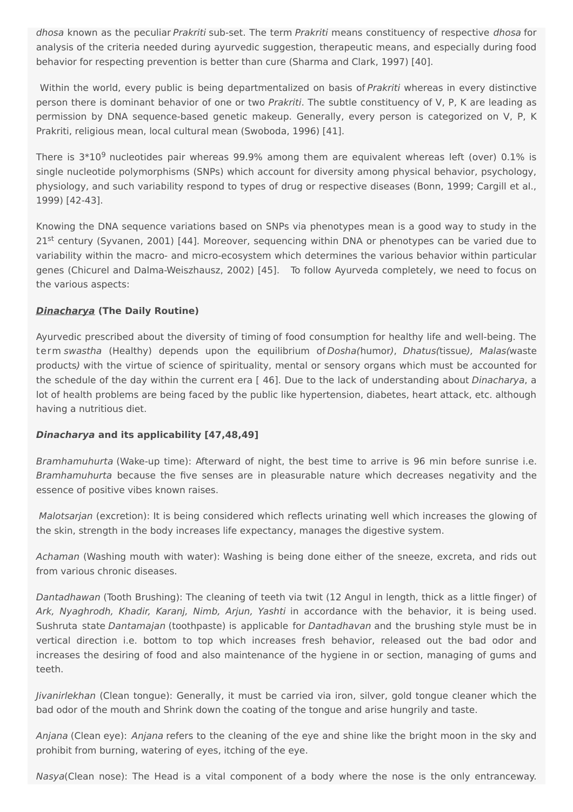dhosa known as the peculiar Prakriti sub-set. The term Prakriti means constituency of respective dhosa for analysis of the criteria needed during ayurvedic suggestion, therapeutic means, and especially during food behavior for respecting prevention is better than cure (Sharma and Clark, 1997) [40].

Within the world, every public is being departmentalized on basis of Prakriti whereas in every distinctive person there is dominant behavior of one or two Prakriti. The subtle constituency of V, P, K are leading as permission by DNA sequence-based genetic makeup. Generally, every person is categorized on V, P, K Prakriti, religious mean, local cultural mean (Swoboda, 1996) [41].

There is  $3*10^9$  nucleotides pair whereas 99.9% among them are equivalent whereas left (over) 0.1% is single nucleotide polymorphisms (SNPs) which account for diversity among physical behavior, psychology, physiology, and such variability respond to types of drug or respective diseases (Bonn, 1999; Cargill et al., 1999) [42-43].

Knowing the DNA sequence variations based on SNPs via phenotypes mean is a good way to study in the 21<sup>st</sup> century (Syvanen, 2001) [44]. Moreover, sequencing within DNA or phenotypes can be varied due to variability within the macro- and micro-ecosystem which determines the various behavior within particular genes (Chicurel and Dalma-Weiszhausz, 2002) [45]. To follow Ayurveda completely, we need to focus on the various aspects:

## **Dinacharya (The Daily Routine)**

Ayurvedic prescribed about the diversity of timing of food consumption for healthy life and well-being. The term swastha (Healthy) depends upon the equilibrium of Dosha(humor), Dhatus(tissue), Malas(waste products) with the virtue of science of spirituality, mental or sensory organs which must be accounted for the schedule of the day within the current era [46]. Due to the lack of understanding about Dinacharya, a lot of health problems are being faced by the public like hypertension, diabetes, heart attack, etc. although having a nutritious diet.

## **Dinacharya and its applicability [47,48,49]**

Bramhamuhurta (Wake-up time): Afterward of night, the best time to arrive is 96 min before sunrise i.e. Bramhamuhurta because the five senses are in pleasurable nature which decreases negativity and the essence of positive vibes known raises.

Malotsarjan (excretion): It is being considered which reflects urinating well which increases the glowing of the skin, strength in the body increases life expectancy, manages the digestive system.

Achaman (Washing mouth with water): Washing is being done either of the sneeze, excreta, and rids out from various chronic diseases.

Dantadhawan (Tooth Brushing): The cleaning of teeth via twit (12 Angul in length, thick as a little finger) of Ark, Nyaghrodh, Khadir, Karanj, Nimb, Arjun, Yashti in accordance with the behavior, it is being used. Sushruta state Dantamajan (toothpaste) is applicable for Dantadhavan and the brushing style must be in vertical direction i.e. bottom to top which increases fresh behavior, released out the bad odor and increases the desiring of food and also maintenance of the hygiene in or section, managing of gums and teeth.

Jivanirlekhan (Clean tongue): Generally, it must be carried via iron, silver, gold tongue cleaner which the bad odor of the mouth and Shrink down the coating of the tongue and arise hungrily and taste.

Anjana (Clean eye): Anjana refers to the cleaning of the eye and shine like the bright moon in the sky and prohibit from burning, watering of eyes, itching of the eye.

Nasya(Clean nose): The Head is a vital component of a body where the nose is the only entranceway.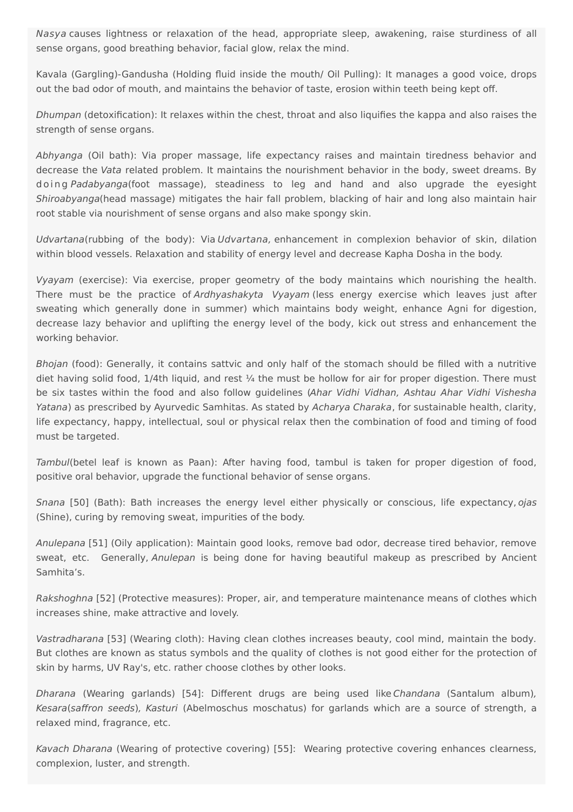Nasya causes lightness or relaxation of the head, appropriate sleep, awakening, raise sturdiness of all sense organs, good breathing behavior, facial glow, relax the mind.

Kavala (Gargling)-Gandusha (Holding fluid inside the mouth/ Oil Pulling): It manages a good voice, drops out the bad odor of mouth, and maintains the behavior of taste, erosion within teeth being kept off.

Dhumpan (detoxification): It relaxes within the chest, throat and also liquifies the kappa and also raises the strength of sense organs.

Abhyanga (Oil bath): Via proper massage, life expectancy raises and maintain tiredness behavior and decrease the Vata related problem. It maintains the nourishment behavior in the body, sweet dreams. By doing Padabyanga(foot massage), steadiness to leg and hand and also upgrade the eyesight Shiroabyanga(head massage) mitigates the hair fall problem, blacking of hair and long also maintain hair root stable via nourishment of sense organs and also make spongy skin.

Udvartana(rubbing of the body): Via Udvartana, enhancement in complexion behavior of skin, dilation within blood vessels. Relaxation and stability of energy level and decrease Kapha Dosha in the body.

Vyayam (exercise): Via exercise, proper geometry of the body maintains which nourishing the health. There must be the practice of Ardhyashakyta Vyayam (less energy exercise which leaves just after sweating which generally done in summer) which maintains body weight, enhance Agni for digestion, decrease lazy behavior and uplifting the energy level of the body, kick out stress and enhancement the working behavior.

Bhojan (food): Generally, it contains sattvic and only half of the stomach should be filled with a nutritive diet having solid food,  $1/4$ th liquid, and rest  $\frac{1}{4}$  the must be hollow for air for proper digestion. There must be six tastes within the food and also follow guidelines (Ahar Vidhi Vidhan, Ashtau Ahar Vidhi Vishesha Yatana) as prescribed by Ayurvedic Samhitas. As stated by Acharya Charaka, for sustainable health, clarity, life expectancy, happy, intellectual, soul or physical relax then the combination of food and timing of food must be targeted.

Tambul(betel leaf is known as Paan): After having food, tambul is taken for proper digestion of food, positive oral behavior, upgrade the functional behavior of sense organs.

Snana [50] (Bath): Bath increases the energy level either physically or conscious, life expectancy, ojas (Shine), curing by removing sweat, impurities of the body.

Anulepana [51] (Oily application): Maintain good looks, remove bad odor, decrease tired behavior, remove sweat, etc. Generally, Anulepan is being done for having beautiful makeup as prescribed by Ancient Samhita's.

Rakshoghna [52] (Protective measures): Proper, air, and temperature maintenance means of clothes which increases shine, make attractive and lovely.

Vastradharana [53] (Wearing cloth): Having clean clothes increases beauty, cool mind, maintain the body. But clothes are known as status symbols and the quality of clothes is not good either for the protection of skin by harms, UV Ray's, etc. rather choose clothes by other looks.

Dharana (Wearing garlands) [54]: Different drugs are being used like Chandana (Santalum album), Kesara(saffron seeds), Kasturi (Abelmoschus moschatus) for garlands which are a source of strength, a relaxed mind, fragrance, etc.

Kavach Dharana (Wearing of protective covering) [55]: Wearing protective covering enhances clearness, complexion, luster, and strength.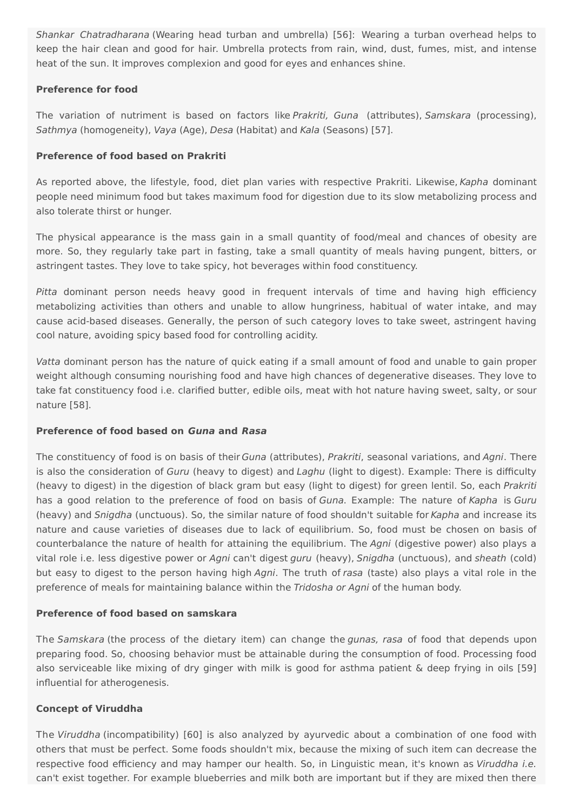Shankar Chatradharana (Wearing head turban and umbrella) [56]: Wearing a turban overhead helps to keep the hair clean and good for hair. Umbrella protects from rain, wind, dust, fumes, mist, and intense heat of the sun. It improves complexion and good for eyes and enhances shine.

#### **Preference for food**

The variation of nutriment is based on factors like Prakriti, Guna (attributes), Samskara (processing), Sathmya (homogeneity), Vaya (Age), Desa (Habitat) and Kala (Seasons) [57].

#### **Preference of food based on Prakriti**

As reported above, the lifestyle, food, diet plan varies with respective Prakriti. Likewise, Kapha dominant people need minimum food but takes maximum food for digestion due to its slow metabolizing process and also tolerate thirst or hunger.

The physical appearance is the mass gain in a small quantity of food/meal and chances of obesity are more. So, they regularly take part in fasting, take a small quantity of meals having pungent, bitters, or astringent tastes. They love to take spicy, hot beverages within food constituency.

Pitta dominant person needs heavy good in frequent intervals of time and having high efficiency metabolizing activities than others and unable to allow hungriness, habitual of water intake, and may cause acid-based diseases. Generally, the person of such category loves to take sweet, astringent having cool nature, avoiding spicy based food for controlling acidity.

Vatta dominant person has the nature of quick eating if a small amount of food and unable to gain proper weight although consuming nourishing food and have high chances of degenerative diseases. They love to take fat constituency food i.e. clarified butter, edible oils, meat with hot nature having sweet, salty, or sour nature [58].

#### **Preference of food based on Guna and Rasa**

The constituency of food is on basis of their Guna (attributes), Prakriti, seasonal variations, and Agni. There is also the consideration of Guru (heavy to digest) and Laghu (light to digest). Example: There is difficulty (heavy to digest) in the digestion of black gram but easy (light to digest) for green lentil. So, each Prakriti has a good relation to the preference of food on basis of Guna. Example: The nature of Kapha is Guru (heavy) and Snigdha (unctuous). So, the similar nature of food shouldn't suitable for Kapha and increase its nature and cause varieties of diseases due to lack of equilibrium. So, food must be chosen on basis of counterbalance the nature of health for attaining the equilibrium. The Agni (digestive power) also plays a vital role i.e. less digestive power or Agni can't digest guru (heavy), Snigdha (unctuous), and sheath (cold) but easy to digest to the person having high Agni. The truth of rasa (taste) also plays a vital role in the preference of meals for maintaining balance within the Tridosha or Agni of the human body.

#### **Preference of food based on samskara**

The Samskara (the process of the dietary item) can change the gunas, rasa of food that depends upon preparing food. So, choosing behavior must be attainable during the consumption of food. Processing food also serviceable like mixing of dry ginger with milk is good for asthma patient & deep frying in oils [59] influential for atherogenesis.

#### **Concept of Viruddha**

The Viruddha (incompatibility) [60] is also analyzed by ayurvedic about a combination of one food with others that must be perfect. Some foods shouldn't mix, because the mixing of such item can decrease the respective food efficiency and may hamper our health. So, in Linguistic mean, it's known as Viruddha i.e. can't exist together. For example blueberries and milk both are important but if they are mixed then there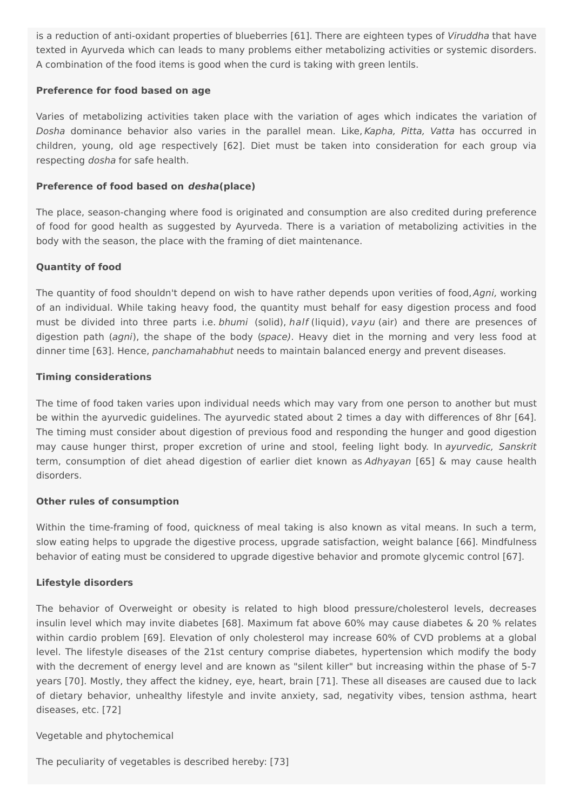is a reduction of anti-oxidant properties of blueberries [61]. There are eighteen types of Viruddha that have texted in Ayurveda which can leads to many problems either metabolizing activities or systemic disorders. A combination of the food items is good when the curd is taking with green lentils.

#### **Preference for food based on age**

Varies of metabolizing activities taken place with the variation of ages which indicates the variation of Dosha dominance behavior also varies in the parallel mean. Like, Kapha, Pitta, Vatta has occurred in children, young, old age respectively [62]. Diet must be taken into consideration for each group via respecting dosha for safe health.

#### **Preference of food based on desha(place)**

The place, season-changing where food is originated and consumption are also credited during preference of food for good health as suggested by Ayurveda. There is a variation of metabolizing activities in the body with the season, the place with the framing of diet maintenance.

#### **Quantity of food**

The quantity of food shouldn't depend on wish to have rather depends upon verities of food, Agni, working of an individual. While taking heavy food, the quantity must behalf for easy digestion process and food must be divided into three parts i.e. bhumi (solid), half (liquid), vayu (air) and there are presences of digestion path (agni), the shape of the body (space). Heavy diet in the morning and very less food at dinner time [63]. Hence, panchamahabhut needs to maintain balanced energy and prevent diseases.

#### **Timing considerations**

The time of food taken varies upon individual needs which may vary from one person to another but must be within the ayurvedic guidelines. The ayurvedic stated about 2 times a day with differences of 8hr [64]. The timing must consider about digestion of previous food and responding the hunger and good digestion may cause hunger thirst, proper excretion of urine and stool, feeling light body. In ayurvedic, Sanskrit term, consumption of diet ahead digestion of earlier diet known as Adhyayan [65] & may cause health disorders.

#### **Other rules of consumption**

Within the time-framing of food, quickness of meal taking is also known as vital means. In such a term, slow eating helps to upgrade the digestive process, upgrade satisfaction, weight balance [66]. Mindfulness behavior of eating must be considered to upgrade digestive behavior and promote glycemic control [67].

#### **Lifestyle disorders**

The behavior of Overweight or obesity is related to high blood pressure/cholesterol levels, decreases insulin level which may invite diabetes [68]. Maximum fat above 60% may cause diabetes & 20 % relates within cardio problem [69]. Elevation of only cholesterol may increase 60% of CVD problems at a global level. The lifestyle diseases of the 21st century comprise diabetes, hypertension which modify the body with the decrement of energy level and are known as "silent killer" but increasing within the phase of 5-7 years [70]. Mostly, they affect the kidney, eye, heart, brain [71]. These all diseases are caused due to lack of dietary behavior, unhealthy lifestyle and invite anxiety, sad, negativity vibes, tension asthma, heart diseases, etc. [72]

#### Vegetable and phytochemical

The peculiarity of vegetables is described hereby: [73]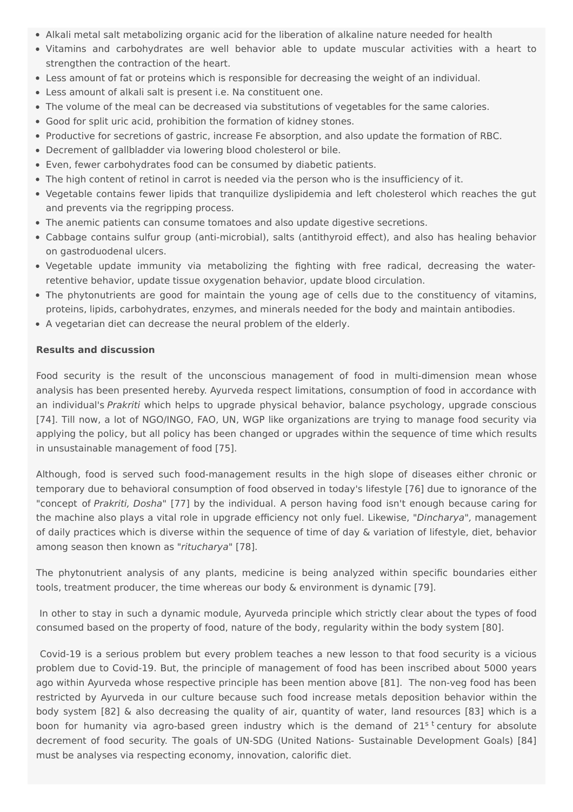- Alkali metal salt metabolizing organic acid for the liberation of alkaline nature needed for health
- Vitamins and carbohydrates are well behavior able to update muscular activities with a heart to strengthen the contraction of the heart.
- Less amount of fat or proteins which is responsible for decreasing the weight of an individual.
- Less amount of alkali salt is present i.e. Na constituent one.
- The volume of the meal can be decreased via substitutions of vegetables for the same calories.
- Good for split uric acid, prohibition the formation of kidney stones.
- Productive for secretions of gastric, increase Fe absorption, and also update the formation of RBC.
- Decrement of gallbladder via lowering blood cholesterol or bile.
- Even, fewer carbohydrates food can be consumed by diabetic patients.
- The high content of retinol in carrot is needed via the person who is the insufficiency of it.
- Vegetable contains fewer lipids that tranquilize dyslipidemia and left cholesterol which reaches the gut and prevents via the regripping process.
- The anemic patients can consume tomatoes and also update digestive secretions.
- Cabbage contains sulfur group (anti-microbial), salts (antithyroid effect), and also has healing behavior on gastroduodenal ulcers.
- Vegetable update immunity via metabolizing the fighting with free radical, decreasing the waterretentive behavior, update tissue oxygenation behavior, update blood circulation.
- The phytonutrients are good for maintain the young age of cells due to the constituency of vitamins, proteins, lipids, carbohydrates, enzymes, and minerals needed for the body and maintain antibodies.
- A vegetarian diet can decrease the neural problem of the elderly.

#### **Results and discussion**

Food security is the result of the unconscious management of food in multi-dimension mean whose analysis has been presented hereby. Ayurveda respect limitations, consumption of food in accordance with an individual's Prakriti which helps to upgrade physical behavior, balance psychology, upgrade conscious [74]. Till now, a lot of NGO/INGO, FAO, UN, WGP like organizations are trying to manage food security via applying the policy, but all policy has been changed or upgrades within the sequence of time which results in unsustainable management of food [75].

Although, food is served such food-management results in the high slope of diseases either chronic or temporary due to behavioral consumption of food observed in today's lifestyle [76] due to ignorance of the "concept of Prakriti, Dosha" [77] by the individual. A person having food isn't enough because caring for the machine also plays a vital role in upgrade efficiency not only fuel. Likewise, "Dincharya", management of daily practices which is diverse within the sequence of time of day & variation of lifestyle, diet, behavior among season then known as "ritucharya" [78].

The phytonutrient analysis of any plants, medicine is being analyzed within specific boundaries either tools, treatment producer, the time whereas our body & environment is dynamic [79].

In other to stay in such a dynamic module, Ayurveda principle which strictly clear about the types of food consumed based on the property of food, nature of the body, regularity within the body system [80].

Covid-19 is a serious problem but every problem teaches a new lesson to that food security is a vicious problem due to Covid-19. But, the principle of management of food has been inscribed about 5000 years ago within Ayurveda whose respective principle has been mention above [81]. The non-veg food has been restricted by Ayurveda in our culture because such food increase metals deposition behavior within the body system [82] & also decreasing the quality of air, quantity of water, land resources [83] which is a boon for humanity via agro-based green industry which is the demand of 21<sup>s t</sup> century for absolute decrement of food security. The goals of UN-SDG (United Nations- Sustainable Development Goals) [84] must be analyses via respecting economy, innovation, calorific diet.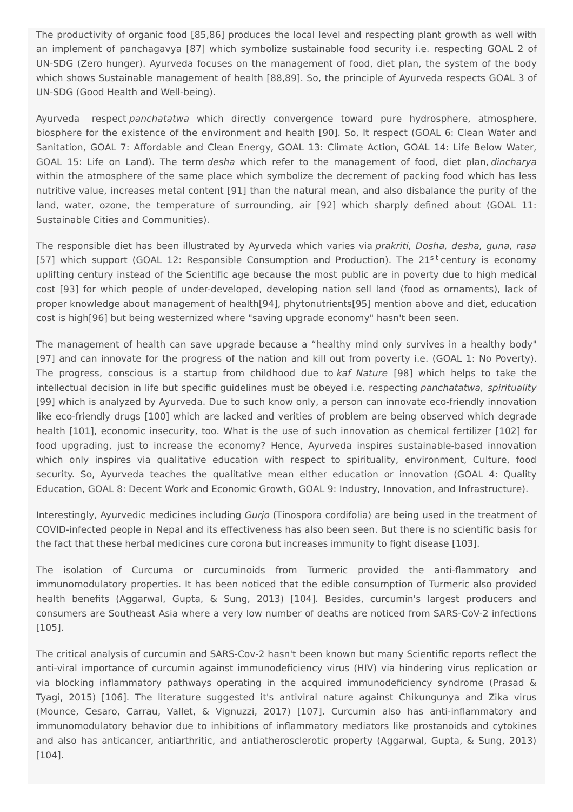The productivity of organic food [85,86] produces the local level and respecting plant growth as well with an implement of panchagavya [87] which symbolize sustainable food security i.e. respecting GOAL 2 of UN-SDG (Zero hunger). Ayurveda focuses on the management of food, diet plan, the system of the body which shows Sustainable management of health [88,89]. So, the principle of Ayurveda respects GOAL 3 of UN-SDG (Good Health and Well-being).

Ayurveda respect panchatatwa which directly convergence toward pure hydrosphere, atmosphere, biosphere for the existence of the environment and health [90]. So, It respect (GOAL 6: Clean Water and Sanitation, GOAL 7: Affordable and Clean Energy, GOAL 13: Climate Action, GOAL 14: Life Below Water, GOAL 15: Life on Land). The term desha which refer to the management of food, diet plan, dincharya within the atmosphere of the same place which symbolize the decrement of packing food which has less nutritive value, increases metal content [91] than the natural mean, and also disbalance the purity of the land, water, ozone, the temperature of surrounding, air [92] which sharply defined about (GOAL 11: Sustainable Cities and Communities).

The responsible diet has been illustrated by Ayurveda which varies via *prakriti, Dosha, desha, guna, rasa* [57] which support (GOAL 12: Responsible Consumption and Production). The 21<sup>st</sup> century is economy uplifting century instead of the Scientific age because the most public are in poverty due to high medical cost [93] for which people of under-developed, developing nation sell land (food as ornaments), lack of proper knowledge about management of health[94], phytonutrients[95] mention above and diet, education cost is high[96] but being westernized where "saving upgrade economy" hasn't been seen.

The management of health can save upgrade because a "healthy mind only survives in a healthy body" [97] and can innovate for the progress of the nation and kill out from poverty i.e. (GOAL 1: No Poverty). The progress, conscious is a startup from childhood due to kaf Nature [98] which helps to take the intellectual decision in life but specific guidelines must be obeyed i.e. respecting panchatatwa, spirituality [99] which is analyzed by Ayurveda. Due to such know only, a person can innovate eco-friendly innovation like eco-friendly drugs [100] which are lacked and verities of problem are being observed which degrade health [101], economic insecurity, too. What is the use of such innovation as chemical fertilizer [102] for food upgrading, just to increase the economy? Hence, Ayurveda inspires sustainable-based innovation which only inspires via qualitative education with respect to spirituality, environment, Culture, food security. So, Ayurveda teaches the qualitative mean either education or innovation (GOAL 4: Quality Education, GOAL 8: Decent Work and Economic Growth, GOAL 9: Industry, Innovation, and Infrastructure).

Interestingly, Ayurvedic medicines including Gurjo (Tinospora cordifolia) are being used in the treatment of COVID-infected people in Nepal and its effectiveness has also been seen. But there is no scientific basis for the fact that these herbal medicines cure corona but increases immunity to fight disease [103].

The isolation of Curcuma or curcuminoids from Turmeric provided the anti-flammatory and immunomodulatory properties. It has been noticed that the edible consumption of Turmeric also provided health benefits (Aggarwal, Gupta, & Sung, 2013) [104]. Besides, curcumin's largest producers and consumers are Southeast Asia where a very low number of deaths are noticed from SARS-CoV-2 infections [105].

The critical analysis of curcumin and SARS-Cov-2 hasn't been known but many Scientific reports reflect the anti-viral importance of curcumin against immunodeficiency virus (HIV) via hindering virus replication or via blocking inflammatory pathways operating in the acquired immunodeficiency syndrome (Prasad & Tyagi, 2015) [106]. The literature suggested it's antiviral nature against Chikungunya and Zika virus (Mounce, Cesaro, Carrau, Vallet, & Vignuzzi, 2017) [107]. Curcumin also has anti-inflammatory and immunomodulatory behavior due to inhibitions of inflammatory mediators like prostanoids and cytokines and also has anticancer, antiarthritic, and antiatherosclerotic property (Aggarwal, Gupta, & Sung, 2013) [104].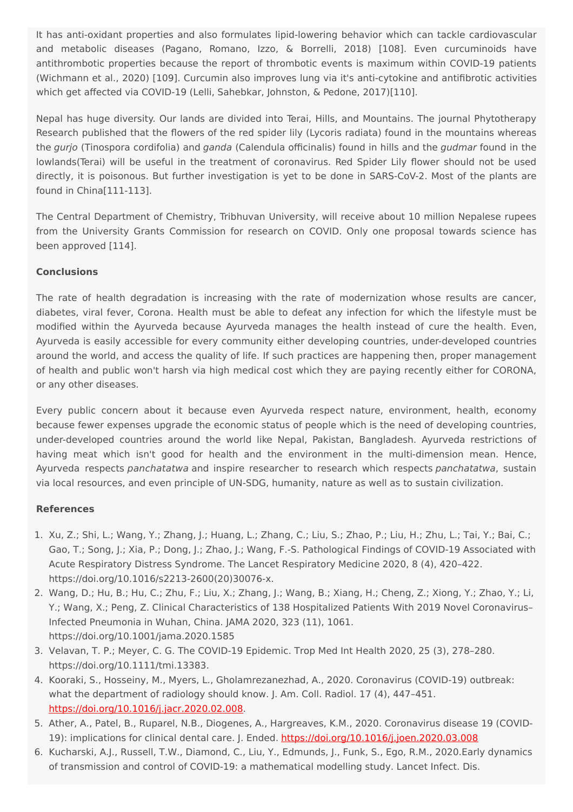It has anti-oxidant properties and also formulates lipid-lowering behavior which can tackle cardiovascular and metabolic diseases (Pagano, Romano, Izzo, & Borrelli, 2018) [108]. Even curcuminoids have antithrombotic properties because the report of thrombotic events is maximum within COVID-19 patients (Wichmann et al., 2020) [109]. Curcumin also improves lung via it's anti-cytokine and antifibrotic activities which get affected via COVID-19 (Lelli, Sahebkar, Johnston, & Pedone, 2017)[110].

Nepal has huge diversity. Our lands are divided into Terai, Hills, and Mountains. The journal Phytotherapy Research published that the flowers of the red spider lily (Lycoris radiata) found in the mountains whereas the gurjo (Tinospora cordifolia) and ganda (Calendula officinalis) found in hills and the gudmar found in the lowlands(Terai) will be useful in the treatment of coronavirus. Red Spider Lily flower should not be used directly, it is poisonous. But further investigation is yet to be done in SARS-CoV-2. Most of the plants are found in China[111-113].

The Central Department of Chemistry, Tribhuvan University, will receive about 10 million Nepalese rupees from the University Grants Commission for research on COVID. Only one proposal towards science has been approved [114].

## **Conclusions**

The rate of health degradation is increasing with the rate of modernization whose results are cancer, diabetes, viral fever, Corona. Health must be able to defeat any infection for which the lifestyle must be modified within the Ayurveda because Ayurveda manages the health instead of cure the health. Even, Ayurveda is easily accessible for every community either developing countries, under-developed countries around the world, and access the quality of life. If such practices are happening then, proper management of health and public won't harsh via high medical cost which they are paying recently either for CORONA, or any other diseases.

Every public concern about it because even Ayurveda respect nature, environment, health, economy because fewer expenses upgrade the economic status of people which is the need of developing countries, under-developed countries around the world like Nepal, Pakistan, Bangladesh. Ayurveda restrictions of having meat which isn't good for health and the environment in the multi-dimension mean. Hence, Ayurveda respects panchatatwa and inspire researcher to research which respects panchatatwa, sustain via local resources, and even principle of UN-SDG, humanity, nature as well as to sustain civilization.

## **References**

- 1. Xu, Z.; Shi, L.; Wang, Y.; Zhang, J.; Huang, L.; Zhang, C.; Liu, S.; Zhao, P.; Liu, H.; Zhu, L.; Tai, Y.; Bai, C.; Gao, T.; Song, J.; Xia, P.; Dong, J.; Zhao, J.; Wang, F.-S. Pathological Findings of COVID-19 Associated with Acute Respiratory Distress Syndrome. The Lancet Respiratory Medicine 2020, 8 (4), 420–422. https://doi.org/10.1016/s2213-2600(20)30076-x.
- 2. Wang, D.; Hu, B.; Hu, C.; Zhu, F.; Liu, X.; Zhang, J.; Wang, B.; Xiang, H.; Cheng, Z.; Xiong, Y.; Zhao, Y.; Li, Y.; Wang, X.; Peng, Z. Clinical Characteristics of 138 Hospitalized Patients With 2019 Novel Coronavirus– Infected Pneumonia in Wuhan, China. JAMA 2020, 323 (11), 1061. https://doi.org/10.1001/jama.2020.1585
- 3. Velavan, T. P.; Meyer, C. G. The COVID‐19 Epidemic. Trop Med Int Health 2020, 25 (3), 278–280. https://doi.org/10.1111/tmi.13383.
- 4. Kooraki, S., Hosseiny, M., Myers, L., Gholamrezanezhad, A., 2020. Coronavirus (COVID-19) outbreak: what the department of radiology should know. J. Am. Coll. Radiol. 17 (4), 447–451. <https://doi.org/10.1016/j.jacr.2020.02.008>.
- 5. Ather, A., Patel, B., Ruparel, N.B., Diogenes, A., Hargreaves, K.M., 2020. Coronavirus disease 19 (COVID-19): implications for clinical dental care. J. Ended. <https://doi.org/10.1016/j.joen.2020.03.008>
- 6. Kucharski, A.J., Russell, T.W., Diamond, C., Liu, Y., Edmunds, J., Funk, S., Ego, R.M., 2020.Early dynamics of transmission and control of COVID-19: a mathematical modelling study. Lancet Infect. Dis.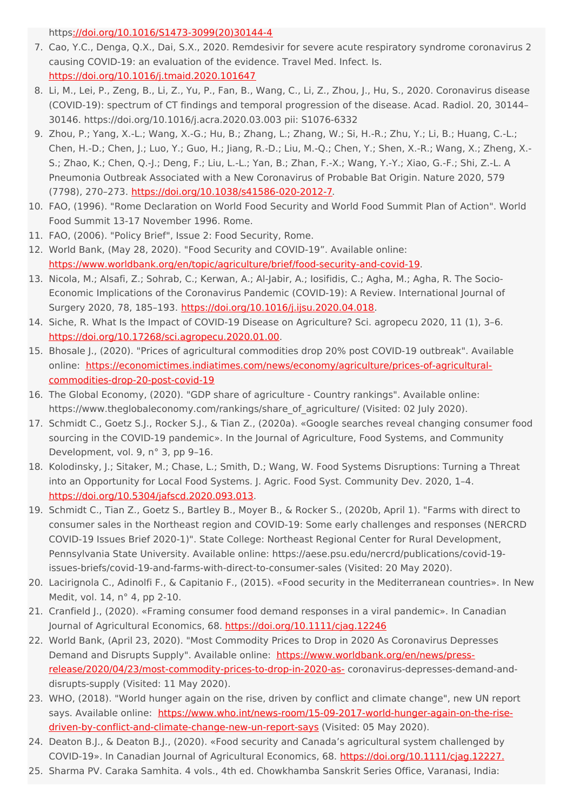http[s://doi.org/10.1016/S1473-3099\(20\)30144-4](https://doi.org/10.1016/S1473-3099(20)30144-4)

- 7. Cao, Y.C., Denga, Q.X., Dai, S.X., 2020. Remdesivir for severe acute respiratory syndrome coronavirus 2 causing COVID-19: an evaluation of the evidence. Travel Med. Infect. Is. <https://doi.org/10.1016/j.tmaid.2020.101647>
- 8. Li, M., Lei, P., Zeng, B., Li, Z., Yu, P., Fan, B., Wang, C., Li, Z., Zhou, J., Hu, S., 2020. Coronavirus disease (COVID-19): spectrum of CT findings and temporal progression of the disease. Acad. Radiol. 20, 30144– 30146. https://doi.org/10.1016/j.acra.2020.03.003 pii: S1076-6332
- 9. Zhou, P.; Yang, X.-L.; Wang, X.-G.; Hu, B.; Zhang, L.; Zhang, W.; Si, H.-R.; Zhu, Y.; Li, B.; Huang, C.-L.; Chen, H.-D.; Chen, J.; Luo, Y.; Guo, H.; Jiang, R.-D.; Liu, M.-Q.; Chen, Y.; Shen, X.-R.; Wang, X.; Zheng, X.- S.; Zhao, K.; Chen, Q.-J.; Deng, F.; Liu, L.-L.; Yan, B.; Zhan, F.-X.; Wang, Y.-Y.; Xiao, G.-F.; Shi, Z.-L. A Pneumonia Outbreak Associated with a New Coronavirus of Probable Bat Origin. Nature 2020, 579 (7798), 270–273. <https://doi.org/10.1038/s41586-020-2012-7>.
- 10. FAO, (1996). "Rome Declaration on World Food Security and World Food Summit Plan of Action". World Food Summit 13-17 November 1996. Rome.
- 11. FAO, (2006). "Policy Brief", Issue 2: Food Security, Rome.
- 12. World Bank, (May 28, 2020). "Food Security and COVID-19". Available online: <https://www.worldbank.org/en/topic/agriculture/brief/food-security-and-covid-19>.
- 13. Nicola, M.; Alsafi, Z.; Sohrab, C.; Kerwan, A.; Al-Jabir, A.; Iosifidis, C.; Agha, M.; Agha, R. The Socio-Economic Implications of the Coronavirus Pandemic (COVID-19): A Review. International Journal of Surgery 2020, 78, 185-193. <https://doi.org/10.1016/j.ijsu.2020.04.018>.
- 14. Siche, R. What Is the Impact of COVID-19 Disease on Agriculture? Sci. agropecu 2020, 11 (1), 3–6. <https://doi.org/10.17268/sci.agropecu.2020.01.00>.
- 15. Bhosale J., (2020). "Prices of agricultural commodities drop 20% post COVID-19 outbreak". Available online: [https://economictimes.indiatimes.com/news/economy/agriculture/prices-of-agricultural](https://economictimes.indiatimes.com/news/economy/agriculture/prices-of-agricultural-commodities-drop-20-post-covid-19)commodities-drop-20-post-covid-19
- 16. The Global Economy, (2020). "GDP share of agriculture Country rankings". Available online: https://www.theglobaleconomy.com/rankings/share\_of\_agriculture/ (Visited: 02 July 2020).
- 17. Schmidt C., Goetz S.J., Rocker S.J., & Tian Z., (2020a). «Google searches reveal changing consumer food sourcing in the COVID-19 pandemic». In the Journal of Agriculture, Food Systems, and Community Development, vol. 9, n° 3, pp 9–16.
- 18. Kolodinsky, J.; Sitaker, M.; Chase, L.; Smith, D.; Wang, W. Food Systems Disruptions: Turning a Threat into an Opportunity for Local Food Systems. J. Agric. Food Syst. Community Dev. 2020, 1–4. <https://doi.org/10.5304/jafscd.2020.093.013>.
- 19. Schmidt C., Tian Z., Goetz S., Bartley B., Moyer B., & Rocker S., (2020b, April 1). "Farms with direct to consumer sales in the Northeast region and COVID-19: Some early challenges and responses (NERCRD COVID-19 Issues Brief 2020-1)". State College: Northeast Regional Center for Rural Development, Pennsylvania State University. Available online: https://aese.psu.edu/nercrd/publications/covid-19 issues-briefs/covid-19-and-farms-with-direct-to-consumer-sales (Visited: 20 May 2020).
- 20. Lacirignola C., Adinolfi F., & Capitanio F., (2015). «Food security in the Mediterranean countries». In New Medit, vol. 14, n° 4, pp 2-10.
- 21. Cranfield J., (2020). «Framing consumer food demand responses in a viral pandemic». In Canadian Journal of Agricultural Economics, 68. <https://doi.org/10.1111/cjag.12246>
- 22. World Bank, (April 23, 2020). "Most Commodity Prices to Drop in 2020 As Coronavirus Depresses Demand and Disrupts Supply". Available online: https://www.worldbank.org/en/news/press[release/2020/04/23/most-commodity-prices-to-drop-in-2020-as-](https://www.worldbank.org/en/news/press-release/2020/04/23/most-commodity-prices-to-drop-in-2020-as-) coronavirus-depresses-demand-anddisrupts-supply (Visited: 11 May 2020).
- 23. WHO, (2018). "World hunger again on the rise, driven by conflict and climate change", new UN report says. Available online: [https://www.who.int/news-room/15-09-2017-world-hunger-again-on-the-rise](https://www.who.int/news-room/15-09-2017-world-hunger-again-on-the-rise-driven-by-conflict-and-climate-change-new-un-report-says)driven-by-conflict-and-climate-change-new-un-report-says (Visited: 05 May 2020).
- 24. Deaton B.J., & Deaton B.J., (2020). «Food security and Canada's agricultural system challenged by COVID-19». In Canadian Journal of Agricultural Economics, 68. [https://doi.org/10.1111/cjag.12227.](https://doi.org/10.1111/cjag.12227)
- 25. Sharma PV. Caraka Samhita. 4 vols., 4th ed. Chowkhamba Sanskrit Series Office, Varanasi, India: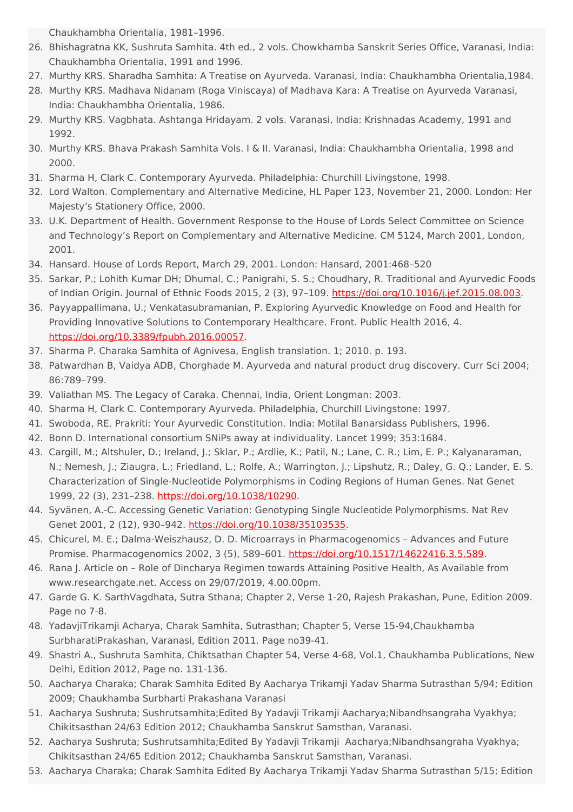Chaukhambha Orientalia, 1981–1996.

- 26. Bhishagratna KK, Sushruta Samhita. 4th ed., 2 vols. Chowkhamba Sanskrit Series Office, Varanasi, India: Chaukhambha Orientalia, 1991 and 1996.
- 27. Murthy KRS. Sharadha Samhita: A Treatise on Ayurveda. Varanasi, India: Chaukhambha Orientalia,1984.
- 28. Murthy KRS. Madhava Nidanam (Roga Viniscaya) of Madhava Kara: A Treatise on Ayurveda Varanasi, India: Chaukhambha Orientalia, 1986.
- 29. Murthy KRS. Vagbhata. Ashtanga Hridayam. 2 vols. Varanasi, India: Krishnadas Academy, 1991 and 1992.
- 30. Murthy KRS. Bhava Prakash Samhita Vols. I & II. Varanasi, India: Chaukhambha Orientalia, 1998 and 2000.
- 31. Sharma H, Clark C. Contemporary Ayurveda. Philadelphia: Churchill Livingstone, 1998.
- 32. Lord Walton. Complementary and Alternative Medicine, HL Paper 123, November 21, 2000. London: Her Majesty's Stationery Office, 2000.
- 33. U.K. Department of Health. Government Response to the House of Lords Select Committee on Science and Technology's Report on Complementary and Alternative Medicine. CM 5124, March 2001, London, 2001.
- 34. Hansard. House of Lords Report, March 29, 2001. London: Hansard, 2001:468–520
- 35. Sarkar, P.; Lohith Kumar DH; Dhumal, C.; Panigrahi, S. S.; Choudhary, R. Traditional and Ayurvedic Foods of Indian Origin. Journal of Ethnic Foods 2015, 2 (3), 97–109. <https://doi.org/10.1016/j.jef.2015.08.003>.
- 36. Payyappallimana, U.; Venkatasubramanian, P. Exploring Ayurvedic Knowledge on Food and Health for Providing Innovative Solutions to Contemporary Healthcare. Front. Public Health 2016, 4. <https://doi.org/10.3389/fpubh.2016.00057>.
- 37. Sharma P. Charaka Samhita of Agnivesa, English translation. 1; 2010. p. 193.
- 38. Patwardhan B, Vaidya ADB, Chorghade M. Ayurveda and natural product drug discovery. Curr Sci 2004; 86:789–799.
- 39. Valiathan MS. The Legacy of Caraka. Chennai, India, Orient Longman: 2003.
- 40. Sharma H, Clark C. Contemporary Ayurveda. Philadelphia, Churchill Livingstone: 1997.
- 41. Swoboda, RE. Prakriti: Your Ayurvedic Constitution. India: Motilal Banarsidass Publishers, 1996.
- 42. Bonn D. International consortium SNiPs away at individuality. Lancet 1999; 353:1684.
- 43. Cargill, M.; Altshuler, D.; Ireland, J.; Sklar, P.; Ardlie, K.; Patil, N.; Lane, C. R.; Lim, E. P.; Kalyanaraman, N.; Nemesh, J.; Ziaugra, L.; Friedland, L.; Rolfe, A.; Warrington, J.; Lipshutz, R.; Daley, G. Q.; Lander, E. S. Characterization of Single-Nucleotide Polymorphisms in Coding Regions of Human Genes. Nat Genet 1999, 22 (3), 231–238. <https://doi.org/10.1038/10290>.
- 44. Syvänen, A.-C. Accessing Genetic Variation: Genotyping Single Nucleotide Polymorphisms. Nat Rev Genet 2001, 2 (12), 930–942. <https://doi.org/10.1038/35103535>.
- 45. Chicurel, M. E.; Dalma-Weiszhausz, D. D. Microarrays in Pharmacogenomics Advances and Future Promise. Pharmacogenomics 2002, 3 (5), 589-601. <https://doi.org/10.1517/14622416.3.5.589>.
- 46. Rana J. Article on Role of Dincharya Regimen towards Attaining Positive Health, As Available from www.researchgate.net. Access on 29/07/2019, 4.00.00pm.
- 47. Garde G. K. SarthVagdhata, Sutra Sthana; Chapter 2, Verse 1-20, Rajesh Prakashan, Pune, Edition 2009. Page no 7-8.
- 48. YadavjiTrikamji Acharya, Charak Samhita, Sutrasthan; Chapter 5, Verse 15-94,Chaukhamba SurbharatiPrakashan, Varanasi, Edition 2011. Page no39-41.
- 49. Shastri A., Sushruta Samhita, Chiktsathan Chapter 54, Verse 4-68, Vol.1, Chaukhamba Publications, New Delhi, Edition 2012, Page no. 131-136.
- 50. Aacharya Charaka; Charak Samhita Edited By Aacharya Trikamji Yadav Sharma Sutrasthan 5/94; Edition 2009; Chaukhamba Surbharti Prakashana Varanasi
- 51. Aacharya Sushruta; Sushrutsamhita;Edited By Yadavji Trikamji Aacharya;Nibandhsangraha Vyakhya; Chikitsasthan 24/63 Edition 2012; Chaukhamba Sanskrut Samsthan, Varanasi.
- 52. Aacharya Sushruta; Sushrutsamhita;Edited By Yadavji Trikamji Aacharya;Nibandhsangraha Vyakhya; Chikitsasthan 24/65 Edition 2012; Chaukhamba Sanskrut Samsthan, Varanasi.
- 53. Aacharya Charaka; Charak Samhita Edited By Aacharya Trikamji Yadav Sharma Sutrasthan 5/15; Edition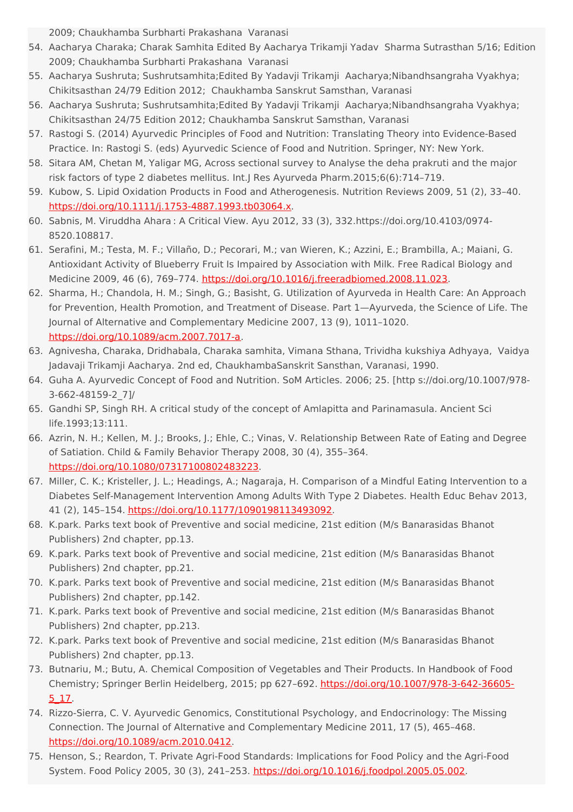2009; Chaukhamba Surbharti Prakashana Varanasi

- 54. Aacharya Charaka; Charak Samhita Edited By Aacharya Trikamji Yadav Sharma Sutrasthan 5/16; Edition 2009; Chaukhamba Surbharti Prakashana Varanasi
- 55. Aacharya Sushruta; Sushrutsamhita;Edited By Yadavji Trikamji Aacharya;Nibandhsangraha Vyakhya; Chikitsasthan 24/79 Edition 2012; Chaukhamba Sanskrut Samsthan, Varanasi
- 56. Aacharya Sushruta; Sushrutsamhita;Edited By Yadavji Trikamji Aacharya;Nibandhsangraha Vyakhya; Chikitsasthan 24/75 Edition 2012; Chaukhamba Sanskrut Samsthan, Varanasi
- 57. Rastogi S. (2014) Ayurvedic Principles of Food and Nutrition: Translating Theory into Evidence-Based Practice. In: Rastogi S. (eds) Ayurvedic Science of Food and Nutrition. Springer, NY: New York.
- 58. Sitara AM, Chetan M, Yaligar MG, Across sectional survey to Analyse the deha prakruti and the major risk factors of type 2 diabetes mellitus. Int.J Res Ayurveda Pharm.2015;6(6):714–719.
- 59. Kubow, S. Lipid Oxidation Products in Food and Atherogenesis. Nutrition Reviews 2009, 51 (2), 33–40. <https://doi.org/10.1111/j.1753-4887.1993.tb03064.x>.
- 60. Sabnis, M. Viruddha Ahara : A Critical View. Ayu 2012, 33 (3), 332.https://doi.org/10.4103/0974- 8520.108817.
- 61. Serafini, M.; Testa, M. F.; Villaño, D.; Pecorari, M.; van Wieren, K.; Azzini, E.; Brambilla, A.; Maiani, G. Antioxidant Activity of Blueberry Fruit Is Impaired by Association with Milk. Free Radical Biology and Medicine 2009, 46 (6), 769–774. <https://doi.org/10.1016/j.freeradbiomed.2008.11.023>.
- 62. Sharma, H.; Chandola, H. M.; Singh, G.; Basisht, G. Utilization of Ayurveda in Health Care: An Approach for Prevention, Health Promotion, and Treatment of Disease. Part 1—Ayurveda, the Science of Life. The Journal of Alternative and Complementary Medicine 2007, 13 (9), 1011–1020. <https://doi.org/10.1089/acm.2007.7017-a>.
- 63. Agnivesha, Charaka, Dridhabala, Charaka samhita, Vimana Sthana, Trividha kukshiya Adhyaya, Vaidya Jadavaji Trikamji Aacharya. 2nd ed, ChaukhambaSanskrit Sansthan, Varanasi, 1990.
- 64. Guha A. Ayurvedic Concept of Food and Nutrition. SoM Articles. 2006; 25. [http s://doi.org/10.1007/978- 3-662-48159-2\_7]/
- 65. Gandhi SP, Singh RH. A critical study of the concept of Amlapitta and Parinamasula. Ancient Sci life.1993;13:111.
- 66. Azrin, N. H.; Kellen, M. J.; Brooks, J.; Ehle, C.; Vinas, V. Relationship Between Rate of Eating and Degree of Satiation. Child & Family Behavior Therapy 2008, 30 (4), 355–364. <https://doi.org/10.1080/07317100802483223>.
- 67. Miller, C. K.; Kristeller, J. L.; Headings, A.; Nagaraja, H. Comparison of a Mindful Eating Intervention to a Diabetes Self-Management Intervention Among Adults With Type 2 Diabetes. Health Educ Behav 2013, 41 (2), 145–154. <https://doi.org/10.1177/1090198113493092>.
- 68. K.park. Parks text book of Preventive and social medicine, 21st edition (M/s Banarasidas Bhanot Publishers) 2nd chapter, pp.13.
- 69. K.park. Parks text book of Preventive and social medicine, 21st edition (M/s Banarasidas Bhanot Publishers) 2nd chapter, pp.21.
- 70. K.park. Parks text book of Preventive and social medicine, 21st edition (M/s Banarasidas Bhanot Publishers) 2nd chapter, pp.142.
- 71. K.park. Parks text book of Preventive and social medicine, 21st edition (M/s Banarasidas Bhanot Publishers) 2nd chapter, pp.213.
- 72. K.park. Parks text book of Preventive and social medicine, 21st edition (M/s Banarasidas Bhanot Publishers) 2nd chapter, pp.13.
- 73. Butnariu, M.; Butu, A. Chemical Composition of Vegetables and Their Products. In Handbook of Food Chemistry; Springer Berlin Heidelberg, 2015; pp 627–692. [https://doi.org/10.1007/978-3-642-36605-](https://doi.org/10.1007/978-3-642-36605-5_17) 5\_17.
- 74. Rizzo-Sierra, C. V. Ayurvedic Genomics, Constitutional Psychology, and Endocrinology: The Missing Connection. The Journal of Alternative and Complementary Medicine 2011, 17 (5), 465–468. <https://doi.org/10.1089/acm.2010.0412>.
- 75. Henson, S.; Reardon, T. Private Agri-Food Standards: Implications for Food Policy and the Agri-Food System. Food Policy 2005, 30 (3), 241–253. <https://doi.org/10.1016/j.foodpol.2005.05.002>.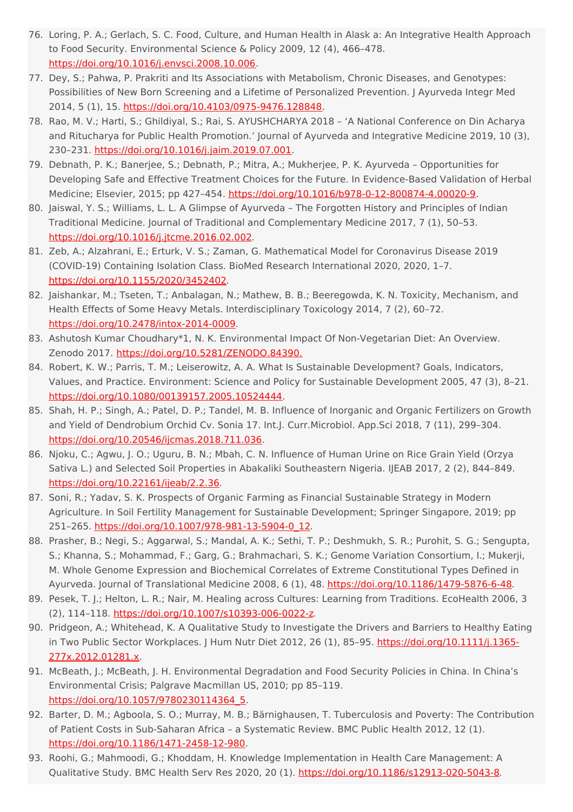- 76. Loring, P. A.; Gerlach, S. C. Food, Culture, and Human Health in Alask a: An Integrative Health Approach to Food Security. Environmental Science & Policy 2009, 12 (4), 466–478. <https://doi.org/10.1016/j.envsci.2008.10.006>.
- 77. Dey, S.; Pahwa, P. Prakriti and Its Associations with Metabolism, Chronic Diseases, and Genotypes: Possibilities of New Born Screening and a Lifetime of Personalized Prevention. J Ayurveda Integr Med 2014, 5 (1), 15. <https://doi.org/10.4103/0975-9476.128848>.
- 78. Rao, M. V.; Harti, S.; Ghildiyal, S.; Rai, S. AYUSHCHARYA 2018 'A National Conference on Din Acharya and Ritucharya for Public Health Promotion.' Journal of Ayurveda and Integrative Medicine 2019, 10 (3), 230–231. <https://doi.org/10.1016/j.jaim.2019.07.001>.
- 79. Debnath, P. K.; Banerjee, S.; Debnath, P.; Mitra, A.; Mukherjee, P. K. Ayurveda Opportunities for Developing Safe and Effective Treatment Choices for the Future. In Evidence-Based Validation of Herbal Medicine; Elsevier, 2015; pp 427-454. <https://doi.org/10.1016/b978-0-12-800874-4.00020-9>.
- 80. Jaiswal, Y. S.; Williams, L. L. A Glimpse of Ayurveda The Forgotten History and Principles of Indian Traditional Medicine. Journal of Traditional and Complementary Medicine 2017, 7 (1), 50–53. <https://doi.org/10.1016/j.jtcme.2016.02.002>.
- 81. Zeb, A.; Alzahrani, E.; Erturk, V. S.; Zaman, G. Mathematical Model for Coronavirus Disease 2019 (COVID-19) Containing Isolation Class. BioMed Research International 2020, 2020, 1–7. <https://doi.org/10.1155/2020/3452402>.
- 82. Jaishankar, M.; Tseten, T.; Anbalagan, N.; Mathew, B. B.; Beeregowda, K. N. Toxicity, Mechanism, and Health Effects of Some Heavy Metals. Interdisciplinary Toxicology 2014, 7 (2), 60–72. <https://doi.org/10.2478/intox-2014-0009>.
- 83. Ashutosh Kumar Choudhary\*1, N. K. Environmental Impact Of Non-Vegetarian Diet: An Overview. Zenodo 2017. [https://doi.org/10.5281/ZENODO.84390.](https://doi.org/10.5281/ZENODO.84390)
- 84. Robert, K. W.; Parris, T. M.; Leiserowitz, A. A. What Is Sustainable Development? Goals, Indicators, Values, and Practice. Environment: Science and Policy for Sustainable Development 2005, 47 (3), 8–21. <https://doi.org/10.1080/00139157.2005.10524444>.
- 85. Shah, H. P.; Singh, A.; Patel, D. P.; Tandel, M. B. Influence of Inorganic and Organic Fertilizers on Growth and Yield of Dendrobium Orchid Cv. Sonia 17. Int.J. Curr.Microbiol. App.Sci 2018, 7 (11), 299–304. <https://doi.org/10.20546/ijcmas.2018.711.036>.
- 86. Njoku, C.; Agwu, J. O.; Uguru, B. N.; Mbah, C. N. Influence of Human Urine on Rice Grain Yield (Orzya Sativa L.) and Selected Soil Properties in Abakaliki Southeastern Nigeria. IJEAB 2017, 2 (2), 844–849. <https://doi.org/10.22161/ijeab/2.2.36>.
- 87. Soni, R.; Yadav, S. K. Prospects of Organic Farming as Financial Sustainable Strategy in Modern Agriculture. In Soil Fertility Management for Sustainable Development; Springer Singapore, 2019; pp 251–265. [https://doi.org/10.1007/978-981-13-5904-0\\_12](https://doi.org/10.1007/978-981-13-5904-0_12).
- 88. Prasher, B.; Negi, S.; Aggarwal, S.; Mandal, A. K.; Sethi, T. P.; Deshmukh, S. R.; Purohit, S. G.; Sengupta, S.; Khanna, S.; Mohammad, F.; Garg, G.; Brahmachari, S. K.; Genome Variation Consortium, I.; Mukerji, M. Whole Genome Expression and Biochemical Correlates of Extreme Constitutional Types Defined in Ayurveda. Journal of Translational Medicine 2008, 6 (1), 48. <https://doi.org/10.1186/1479-5876-6-48>.
- 89. Pesek, T. J.; Helton, L. R.; Nair, M. Healing across Cultures: Learning from Traditions. EcoHealth 2006, 3 (2), 114–118. [https://doi.org/10.1007/s10393-006-0022-z.](https://doi.org/10.1007/s10393-006-0022-z)
- 90. Pridgeon, A.; Whitehead, K. A Qualitative Study to Investigate the Drivers and Barriers to Healthy Eating in Two Public Sector Workplaces. J Hum Nutr Diet 2012, 26 (1), 85-95. [https://doi.org/10.1111/j.1365-](https://doi.org/10.1111/j.1365-277x.2012.01281.x) 277x.2012.01281.x.
- 91. McBeath, J.; McBeath, J. H. Environmental Degradation and Food Security Policies in China. In China's Environmental Crisis; Palgrave Macmillan US, 2010; pp 85–119. [https://doi.org/10.1057/9780230114364\\_5](https://doi.org/10.1057/9780230114364_5).
- 92. Barter, D. M.; Agboola, S. O.; Murray, M. B.; Bärnighausen, T. Tuberculosis and Poverty: The Contribution of Patient Costs in Sub-Saharan Africa – a Systematic Review. BMC Public Health 2012, 12 (1). <https://doi.org/10.1186/1471-2458-12-980>.
- 93. Roohi, G.; Mahmoodi, G.; Khoddam, H. Knowledge Implementation in Health Care Management: A Qualitative Study. BMC Health Serv Res 2020, 20 (1). <https://doi.org/10.1186/s12913-020-5043-8>.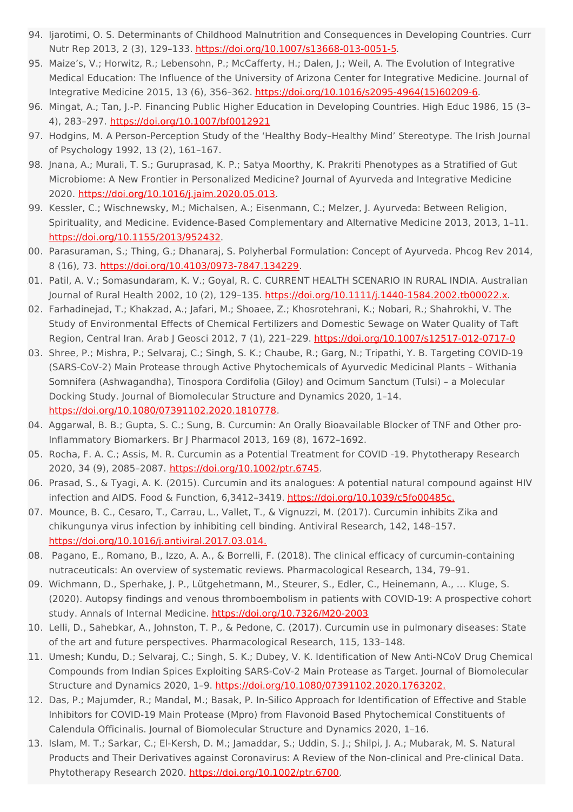- 94. Ijarotimi, O. S. Determinants of Childhood Malnutrition and Consequences in Developing Countries. Curr Nutr Rep 2013, 2 (3), 129–133. <https://doi.org/10.1007/s13668-013-0051-5>.
- 95. Maize's, V.; Horwitz, R.; Lebensohn, P.; McCafferty, H.; Dalen, J.; Weil, A. The Evolution of Integrative Medical Education: The Influence of the University of Arizona Center for Integrative Medicine. Journal of Integrative Medicine 2015, 13 (6), 356–362. [https://doi.org/10.1016/s2095-4964\(15\)60209-6](https://doi.org/10.1016/s2095-4964(15)60209-6).
- 96. Mingat, A.; Tan, J.-P. Financing Public Higher Education in Developing Countries. High Educ 1986, 15 (3– 4), 283–297. <https://doi.org/10.1007/bf0012921>
- 97. Hodgins, M. A Person-Perception Study of the 'Healthy Body–Healthy Mind' Stereotype. The Irish Journal of Psychology 1992, 13 (2), 161–167.
- 98. Jnana, A.; Murali, T. S.; Guruprasad, K. P.; Satya Moorthy, K. Prakriti Phenotypes as a Stratified of Gut Microbiome: A New Frontier in Personalized Medicine? Journal of Ayurveda and Integrative Medicine 2020. <https://doi.org/10.1016/j.jaim.2020.05.013>.
- 99. Kessler, C.; Wischnewsky, M.; Michalsen, A.; Eisenmann, C.; Melzer, J. Ayurveda: Between Religion, Spirituality, and Medicine. Evidence-Based Complementary and Alternative Medicine 2013, 2013, 1–11. <https://doi.org/10.1155/2013/952432>.
- 100. Parasuraman, S.; Thing, G.; Dhanaraj, S. Polyherbal Formulation: Concept of Ayurveda. Phcog Rev 2014, 8 (16), 73. <https://doi.org/10.4103/0973-7847.134229>.
- 01. Patil, A. V.; Somasundaram, K. V.; Goyal, R. C. CURRENT HEALTH SCENARIO IN RURAL INDIA. Australian Journal of Rural Health 2002, 10 (2), 129-135. <https://doi.org/10.1111/j.1440-1584.2002.tb00022.x>.
- 02. Farhadinejad, T.; Khakzad, A.; Jafari, M.; Shoaee, Z.; Khosrotehrani, K.; Nobari, R.; Shahrokhi, V. The Study of Environmental Effects of Chemical Fertilizers and Domestic Sewage on Water Quality of Taft Region, Central Iran. Arab J Geosci 2012, 7 (1), 221-229. <https://doi.org/10.1007/s12517-012-0717-0>
- 03. Shree, P.; Mishra, P.; Selvaraj, C.; Singh, S. K.; Chaube, R.; Garg, N.; Tripathi, Y. B. Targeting COVID-19 (SARS-CoV-2) Main Protease through Active Phytochemicals of Ayurvedic Medicinal Plants – Withania Somnifera (Ashwagandha), Tinospora Cordifolia (Giloy) and Ocimum Sanctum (Tulsi) – a Molecular Docking Study. Journal of Biomolecular Structure and Dynamics 2020, 1–14. <https://doi.org/10.1080/07391102.2020.1810778>.
- 104. Aggarwal, B. B.; Gupta, S. C.; Sung, B. Curcumin: An Orally Bioavailable Blocker of TNF and Other pro-Inflammatory Biomarkers. Br J Pharmacol 2013, 169 (8), 1672–1692.
- 05. Rocha, F. A. C.; Assis, M. R. Curcumin as a Potential Treatment for COVID -19. Phytotherapy Research 2020, 34 (9), 2085–2087. <https://doi.org/10.1002/ptr.6745>.
- 106. Prasad, S., & Tyagi, A. K. (2015). Curcumin and its analogues: A potential natural compound against HIV infection and AIDS. Food & Function, 6,3412-3419. [https://doi.org/10.1039/c5fo00485c.](https://doi.org/10.1039/c5fo00485c)
- 07. Mounce, B. C., Cesaro, T., Carrau, L., Vallet, T., & Vignuzzi, M. (2017). Curcumin inhibits Zika and chikungunya virus infection by inhibiting cell binding. Antiviral Research, 142, 148–157. [https://doi.org/10.1016/j.antiviral.2017.03.014.](https://doi.org/10.1016/j.antiviral.2017.03.014)
- 108. Pagano, E., Romano, B., Izzo, A. A., & Borrelli, F. (2018). The clinical efficacy of curcumin-containing nutraceuticals: An overview of systematic reviews. Pharmacological Research, 134, 79–91.
- 109. Wichmann, D., Sperhake, J. P., Lütgehetmann, M., Steurer, S., Edler, C., Heinemann, A., … Kluge, S. (2020). Autopsy findings and venous thromboembolism in patients with COVID-19: A prospective cohort study. Annals of Internal Medicine. <https://doi.org/10.7326/M20-2003>
- 110. Lelli, D., Sahebkar, A., Johnston, T. P., & Pedone, C. (2017). Curcumin use in pulmonary diseases: State of the art and future perspectives. Pharmacological Research, 115, 133–148.
- 11. Umesh; Kundu, D.; Selvaraj, C.; Singh, S. K.; Dubey, V. K. Identification of New Anti-NCoV Drug Chemical Compounds from Indian Spices Exploiting SARS-CoV-2 Main Protease as Target. Journal of Biomolecular Structure and Dynamics 2020, 1–9. [https://doi.org/10.1080/07391102.2020.1763202.](https://doi.org/10.1080/07391102.2020.1763202)
- 112. Das, P.; Majumder, R.; Mandal, M.; Basak, P. In-Silico Approach for Identification of Effective and Stable Inhibitors for COVID-19 Main Protease (Mpro) from Flavonoid Based Phytochemical Constituents of Calendula Officinalis. Journal of Biomolecular Structure and Dynamics 2020, 1–16.
- 13. Islam, M. T.; Sarkar, C.; El-Kersh, D. M.; Jamaddar, S.; Uddin, S. J.; Shilpi, J. A.; Mubarak, M. S. Natural Products and Their Derivatives against Coronavirus: A Review of the Non‐clinical and Pre‐clinical Data. Phytotherapy Research 2020. [https://doi.org/10.1002/ptr.6700.](https://doi.org/10.1002/ptr.6700)